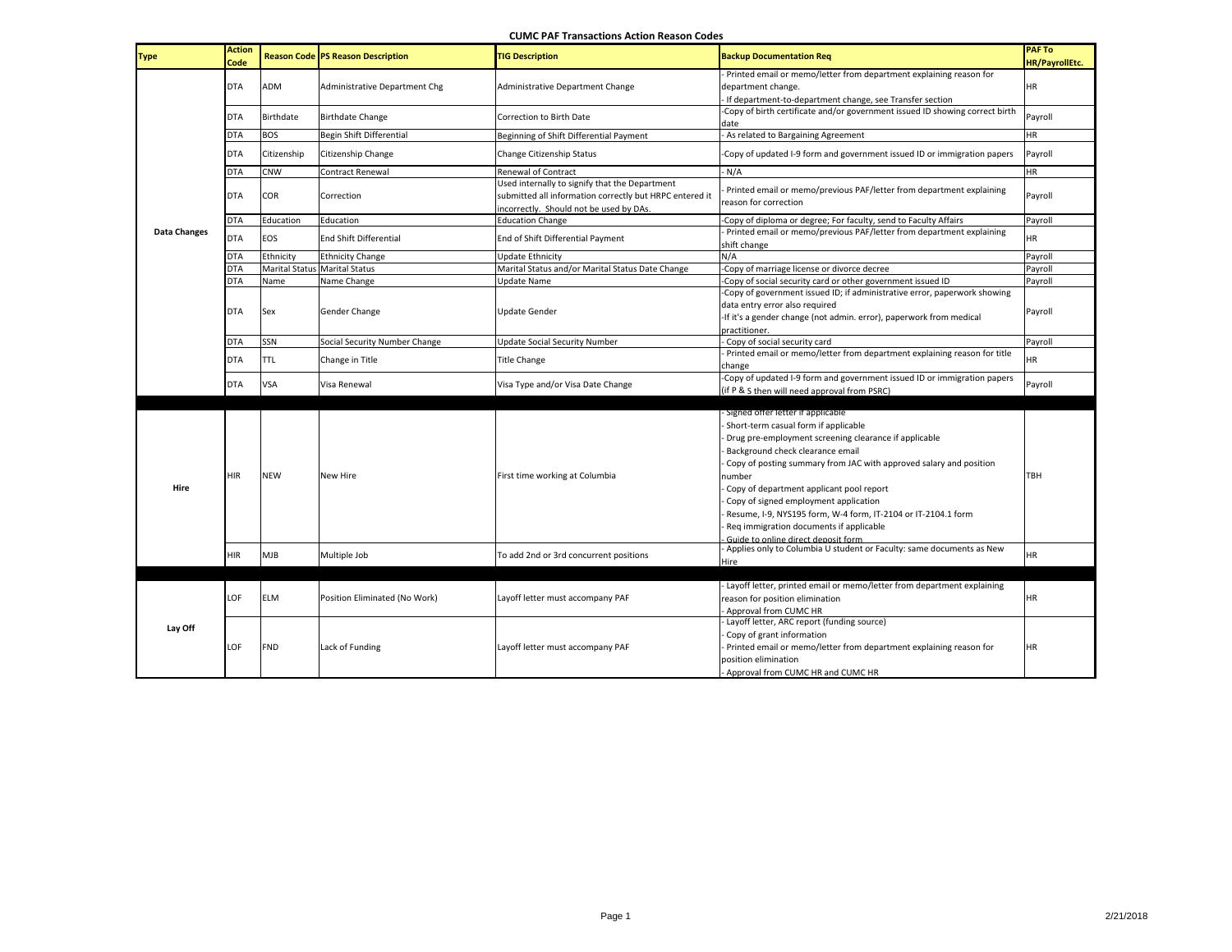## **CUMC PAF Transactions Action Reason Codes**

| <b>Type</b>         | <b>Action</b><br>Code |                  | <b>Reason Code PS Reason Description</b> | <b>TIG Description</b>                                                                                                                               | <b>Backup Documentation Reg</b>                                                                                                                                                                                                                | <b>PAF To</b><br>HR/PayrollEtc. |
|---------------------|-----------------------|------------------|------------------------------------------|------------------------------------------------------------------------------------------------------------------------------------------------------|------------------------------------------------------------------------------------------------------------------------------------------------------------------------------------------------------------------------------------------------|---------------------------------|
|                     | <b>DTA</b>            | ADM              | Administrative Department Chg            | Administrative Department Change                                                                                                                     | Printed email or memo/letter from department explaining reason for<br>department change.<br>If department-to-department change, see Transfer section                                                                                           | HR                              |
|                     | DTA                   | <b>Birthdate</b> | <b>Birthdate Change</b>                  | Correction to Birth Date                                                                                                                             | -Copy of birth certificate and/or government issued ID showing correct birth<br>date                                                                                                                                                           | Payroll                         |
|                     | <b>DTA</b>            | <b>BOS</b>       | Begin Shift Differential                 | Beginning of Shift Differential Payment                                                                                                              | As related to Bargaining Agreement                                                                                                                                                                                                             | HR                              |
|                     | <b>DTA</b>            | Citizenship      | Citizenship Change                       | Change Citizenship Status                                                                                                                            | -Copy of updated I-9 form and government issued ID or immigration papers                                                                                                                                                                       | Payroll                         |
|                     | <b>DTA</b>            | CNW              | Contract Renewal                         | <b>Renewal of Contract</b>                                                                                                                           | N/A                                                                                                                                                                                                                                            | HR                              |
|                     | <b>DTA</b>            | COR              | Correction                               | Used internally to signify that the Department<br>submitted all information correctly but HRPC entered it<br>incorrectly. Should not be used by DAs. | Printed email or memo/previous PAF/letter from department explaining<br>reason for correction                                                                                                                                                  | Payroll                         |
|                     | <b>DTA</b>            | Education        | Education                                | <b>Education Change</b>                                                                                                                              | -Copy of diploma or degree; For faculty, send to Faculty Affairs                                                                                                                                                                               | Payroll                         |
| <b>Data Changes</b> | <b>DTA</b>            | EOS              | <b>End Shift Differential</b>            | End of Shift Differential Payment                                                                                                                    | Printed email or memo/previous PAF/letter from department explaining<br>shift change                                                                                                                                                           | <b>HR</b>                       |
|                     | <b>DTA</b>            | Ethnicity        | <b>Ethnicity Change</b>                  | <b>Update Ethnicity</b>                                                                                                                              | N/A                                                                                                                                                                                                                                            | Payroll                         |
|                     | <b>DTA</b>            |                  | <b>Marital Status Marital Status</b>     | Marital Status and/or Marital Status Date Change                                                                                                     | Copy of marriage license or divorce decree                                                                                                                                                                                                     | Payroll                         |
|                     | DTA                   | Name             | Name Change                              | <b>Update Name</b>                                                                                                                                   | Copy of social security card or other government issued ID                                                                                                                                                                                     | Payroll                         |
|                     | DTA                   | Sex              | Gender Change                            | <b>Update Gender</b>                                                                                                                                 | -Copy of government issued ID; if administrative error, paperwork showing<br>data entry error also required<br>-If it's a gender change (not admin. error), paperwork from medical<br>practitioner.                                            | Payroll                         |
|                     | <b>DTA</b>            | SSN              | Social Security Number Change            | <b>Update Social Security Number</b>                                                                                                                 | Copy of social security card                                                                                                                                                                                                                   | Payroll                         |
|                     | <b>DTA</b>            | <b>TTL</b>       | Change in Title                          | <b>Title Change</b>                                                                                                                                  | Printed email or memo/letter from department explaining reason for title<br>change                                                                                                                                                             | HR                              |
|                     | <b>DTA</b>            | <b>VSA</b>       | Visa Renewal                             | Visa Type and/or Visa Date Change                                                                                                                    | -Copy of updated I-9 form and government issued ID or immigration papers<br>(if P & S then will need approval from PSRC)                                                                                                                       | Payroll                         |
|                     |                       |                  |                                          |                                                                                                                                                      |                                                                                                                                                                                                                                                |                                 |
| Hire                | <b>HIR</b>            | <b>NEW</b>       | New Hire                                 | First time working at Columbia                                                                                                                       | - Signed offer letter if applicable<br>Short-term casual form if applicable<br>Drug pre-employment screening clearance if applicable<br>Background check clearance email<br>Copy of posting summary from JAC with approved salary and position | TBH                             |
|                     |                       |                  |                                          |                                                                                                                                                      | number<br>Copy of department applicant pool report<br>Copy of signed employment application<br>Resume, I-9, NYS195 form, W-4 form, IT-2104 or IT-2104.1 form<br>Req immigration documents if applicable<br>Guide to online direct deposit form |                                 |
|                     | HIR                   | <b>MJB</b>       | Multiple Job                             | To add 2nd or 3rd concurrent positions                                                                                                               | Applies only to Columbia U student or Faculty: same documents as New<br>Hire                                                                                                                                                                   | HR                              |
|                     |                       |                  |                                          |                                                                                                                                                      |                                                                                                                                                                                                                                                |                                 |
|                     | LOF                   | <b>ELM</b>       | Position Eliminated (No Work)            | Layoff letter must accompany PAF                                                                                                                     | Layoff letter, printed email or memo/letter from department explaining<br>reason for position elimination<br>Approval from CUMC HR                                                                                                             | HR                              |
| Lay Off             | LOF                   | <b>FND</b>       | Lack of Funding                          | Layoff letter must accompany PAF                                                                                                                     | Layoff letter, ARC report (funding source)<br>Copy of grant information<br>Printed email or memo/letter from department explaining reason for<br>position elimination<br>- Approval from CUMC HR and CUMC HR                                   | <b>HR</b>                       |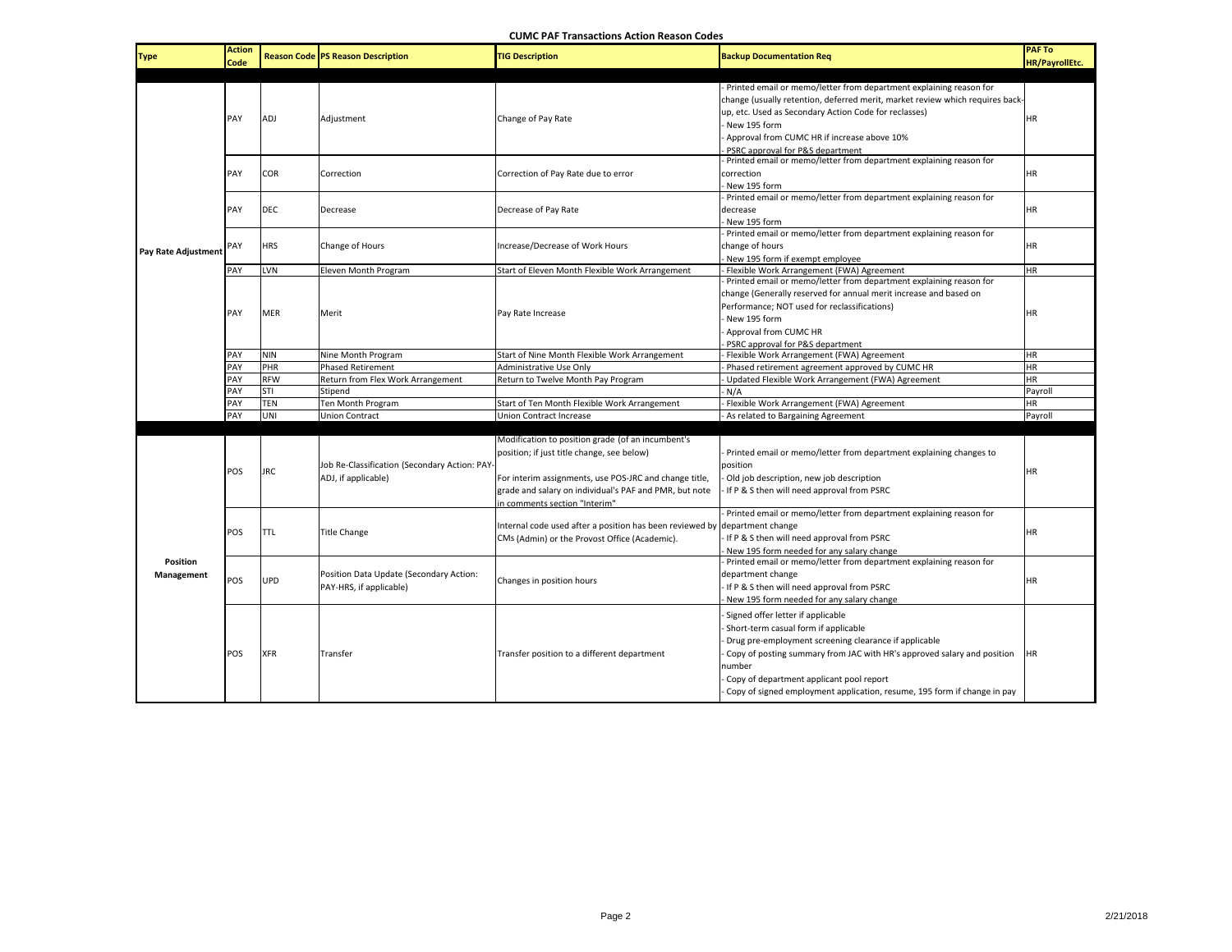| <b>Type</b>            | <b>Action</b><br>Code |            | <b>Reason Code PS Reason Description</b>                             | <b>TIG Description</b>                                                                                                                                                                                                                               | <b>Backup Documentation Reg</b>                                                                                                                                                                                                                                                                                                                 | <b>PAF To</b><br><b>HR/PayrollEtc.</b> |
|------------------------|-----------------------|------------|----------------------------------------------------------------------|------------------------------------------------------------------------------------------------------------------------------------------------------------------------------------------------------------------------------------------------------|-------------------------------------------------------------------------------------------------------------------------------------------------------------------------------------------------------------------------------------------------------------------------------------------------------------------------------------------------|----------------------------------------|
|                        | PAY                   |            | Adjustment                                                           | Change of Pay Rate                                                                                                                                                                                                                                   | - Printed email or memo/letter from department explaining reason for<br>change (usually retention, deferred merit, market review which requires back-<br>up, etc. Used as Secondary Action Code for reclasses)                                                                                                                                  |                                        |
|                        |                       | ADJ        |                                                                      |                                                                                                                                                                                                                                                      | New 195 form<br>Approval from CUMC HR if increase above 10%<br>PSRC approval for P&S department                                                                                                                                                                                                                                                 | HR.                                    |
|                        | PAY                   | <b>COR</b> | Correction                                                           | Correction of Pay Rate due to error                                                                                                                                                                                                                  | Printed email or memo/letter from department explaining reason for<br>correction<br>New 195 form                                                                                                                                                                                                                                                | <b>HR</b>                              |
|                        | PAY                   | <b>DEC</b> | Decrease                                                             | Decrease of Pay Rate                                                                                                                                                                                                                                 | Printed email or memo/letter from department explaining reason for<br>decrease<br>New 195 form                                                                                                                                                                                                                                                  | HR.                                    |
| Pay Rate Adjustment    | PAY                   | <b>HRS</b> | Change of Hours                                                      | Increase/Decrease of Work Hours                                                                                                                                                                                                                      | Printed email or memo/letter from department explaining reason for<br>change of hours<br>New 195 form if exempt employee                                                                                                                                                                                                                        | <b>HR</b>                              |
|                        | PAY                   | LVN        | Eleven Month Program                                                 | Start of Eleven Month Flexible Work Arrangement                                                                                                                                                                                                      | Flexible Work Arrangement (FWA) Agreement                                                                                                                                                                                                                                                                                                       | HR.                                    |
|                        | PAY                   | <b>MER</b> | Merit                                                                | Pay Rate Increase                                                                                                                                                                                                                                    | Printed email or memo/letter from department explaining reason for<br>change (Generally reserved for annual merit increase and based on<br>Performance; NOT used for reclassifications)<br>New 195 form<br>Approval from CUMC HR<br>PSRC approval for P&S department                                                                            | <b>HR</b>                              |
|                        | PAY                   | <b>NIN</b> | Nine Month Program                                                   | Start of Nine Month Flexible Work Arrangement                                                                                                                                                                                                        | Flexible Work Arrangement (FWA) Agreement                                                                                                                                                                                                                                                                                                       | <b>HR</b>                              |
|                        | PAY                   | PHR        | <b>Phased Retirement</b>                                             | Administrative Use Only                                                                                                                                                                                                                              | Phased retirement agreement approved by CUMC HR                                                                                                                                                                                                                                                                                                 | HR.                                    |
|                        | PAY                   | <b>RFW</b> | Return from Flex Work Arrangement                                    | Return to Twelve Month Pay Program                                                                                                                                                                                                                   | Updated Flexible Work Arrangement (FWA) Agreement                                                                                                                                                                                                                                                                                               | HR.                                    |
|                        | PAY                   | <b>STI</b> | Stipend                                                              |                                                                                                                                                                                                                                                      | N/A                                                                                                                                                                                                                                                                                                                                             | Payroll                                |
|                        | PAY                   | <b>TEN</b> | Ten Month Program                                                    | Start of Ten Month Flexible Work Arrangement                                                                                                                                                                                                         | Flexible Work Arrangement (FWA) Agreement                                                                                                                                                                                                                                                                                                       | HR                                     |
|                        | PAY                   | UNI        | <b>Union Contract</b>                                                | Union Contract Increase                                                                                                                                                                                                                              | As related to Bargaining Agreement                                                                                                                                                                                                                                                                                                              | Payroll                                |
|                        |                       |            |                                                                      |                                                                                                                                                                                                                                                      |                                                                                                                                                                                                                                                                                                                                                 |                                        |
| Position<br>Management | POS                   | <b>JRC</b> | Job Re-Classification (Secondary Action: PAY-<br>ADJ, if applicable) | Modification to position grade (of an incumbent's<br>position; if just title change, see below)<br>For interim assignments, use POS-JRC and change title,<br>grade and salary on individual's PAF and PMR, but note<br>in comments section "Interim" | Printed email or memo/letter from department explaining changes to<br>position<br>Old job description, new job description<br>If P & S then will need approval from PSRC                                                                                                                                                                        | HR                                     |
|                        | POS                   | <b>TTL</b> | <b>Title Change</b>                                                  | Internal code used after a position has been reviewed by department change<br>CMs (Admin) or the Provost Office (Academic).                                                                                                                          | Printed email or memo/letter from department explaining reason for<br>If P & S then will need approval from PSRC<br>New 195 form needed for any salary change                                                                                                                                                                                   | HR                                     |
|                        | POS                   | <b>UPD</b> | Position Data Update (Secondary Action:<br>PAY-HRS, if applicable)   | Changes in position hours                                                                                                                                                                                                                            | Printed email or memo/letter from department explaining reason for<br>department change<br>If P & S then will need approval from PSRC<br>New 195 form needed for any salary change                                                                                                                                                              | HR.                                    |
|                        | POS                   | <b>XFR</b> | Transfer                                                             | Transfer position to a different department                                                                                                                                                                                                          | Signed offer letter if applicable<br>Short-term casual form if applicable<br>Drug pre-employment screening clearance if applicable<br>Copy of posting summary from JAC with HR's approved salary and position<br>number<br>Copy of department applicant pool report<br>Copy of signed employment application, resume, 195 form if change in pay | ΗR                                     |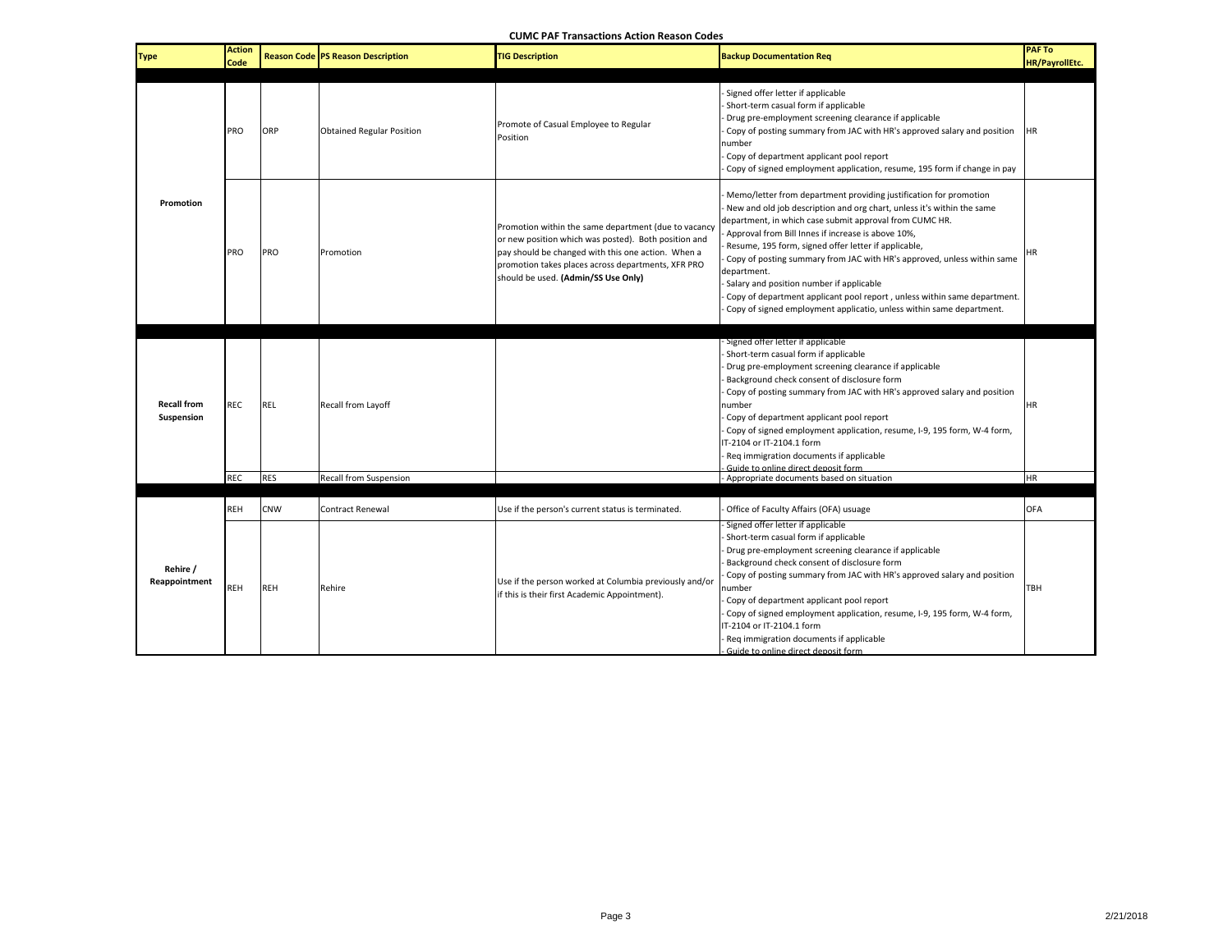**CUMC PAF Transactions Action Reason Codes**

| <b>Type</b>                      | <b>Action</b><br>Code    |                          | <b>Reason Code PS Reason Description</b>     | <b>IG Description</b>                                                                                                                                                                                                                                           | <b>Backup Documentation Req</b>                                                                                                                                                                                                                                                                                                                                                                                                                                                                                                                                                                                | <b>PAF To</b><br><b>HR/PayrollEtc.</b> |
|----------------------------------|--------------------------|--------------------------|----------------------------------------------|-----------------------------------------------------------------------------------------------------------------------------------------------------------------------------------------------------------------------------------------------------------------|----------------------------------------------------------------------------------------------------------------------------------------------------------------------------------------------------------------------------------------------------------------------------------------------------------------------------------------------------------------------------------------------------------------------------------------------------------------------------------------------------------------------------------------------------------------------------------------------------------------|----------------------------------------|
| Promotion                        | PRO                      | ORP                      | <b>Obtained Regular Position</b>             | Promote of Casual Employee to Regular<br>Position                                                                                                                                                                                                               | Signed offer letter if applicable<br>Short-term casual form if applicable<br>Drug pre-employment screening clearance if applicable<br>Copy of posting summary from JAC with HR's approved salary and position<br>number<br>Copy of department applicant pool report<br>Copy of signed employment application, resume, 195 form if change in pay                                                                                                                                                                                                                                                                | <b>HR</b>                              |
|                                  | PRO                      | PRO                      | Promotion                                    | Promotion within the same department (due to vacancy<br>or new position which was posted). Both position and<br>pay should be changed with this one action. When a<br>promotion takes places across departments, XFR PRO<br>should be used. (Admin/SS Use Only) | Memo/letter from department providing justification for promotion<br>New and old job description and org chart, unless it's within the same<br>department, in which case submit approval from CUMC HR.<br>Approval from Bill Innes if increase is above 10%,<br>Resume, 195 form, signed offer letter if applicable,<br>Copy of posting summary from JAC with HR's approved, unless within same<br>department.<br>Salary and position number if applicable<br>Copy of department applicant pool report, unless within same department.<br>Copy of signed employment applicatio, unless within same department. | ΗR                                     |
| <b>Recall from</b><br>Suspension | <b>REC</b><br><b>REC</b> | <b>REL</b><br><b>RES</b> | Recall from Layoff<br>Recall from Suspension |                                                                                                                                                                                                                                                                 | Signed offer letter if applicable<br>Short-term casual form if applicable<br>Drug pre-employment screening clearance if applicable<br>Background check consent of disclosure form<br>Copy of posting summary from JAC with HR's approved salary and position<br>number<br>Copy of department applicant pool report<br>Copy of signed employment application, resume, I-9, 195 form, W-4 form,<br>IT-2104 or IT-2104.1 form<br>Req immigration documents if applicable<br>Guide to online direct deposit form.<br>Appropriate documents based on situation                                                      | <b>HR</b><br><b>HR</b>                 |
| Rehire /<br>Reappointment        | <b>REH</b>               | <b>CNW</b>               | <b>Contract Renewal</b>                      | Use if the person's current status is terminated.                                                                                                                                                                                                               | Office of Faculty Affairs (OFA) usuage                                                                                                                                                                                                                                                                                                                                                                                                                                                                                                                                                                         | OFA                                    |
|                                  | REH                      | <b>REH</b>               | Rehire                                       | Use if the person worked at Columbia previously and/or<br>if this is their first Academic Appointment).                                                                                                                                                         | Signed offer letter if applicable<br>Short-term casual form if applicable<br>Drug pre-employment screening clearance if applicable<br>Background check consent of disclosure form<br>Copy of posting summary from JAC with HR's approved salary and position<br>number<br>Copy of department applicant pool report<br>Copy of signed employment application, resume, I-9, 195 form, W-4 form,<br>IT-2104 or IT-2104.1 form<br>Req immigration documents if applicable<br>Guide to online direct deposit form                                                                                                   | <b>TBH</b>                             |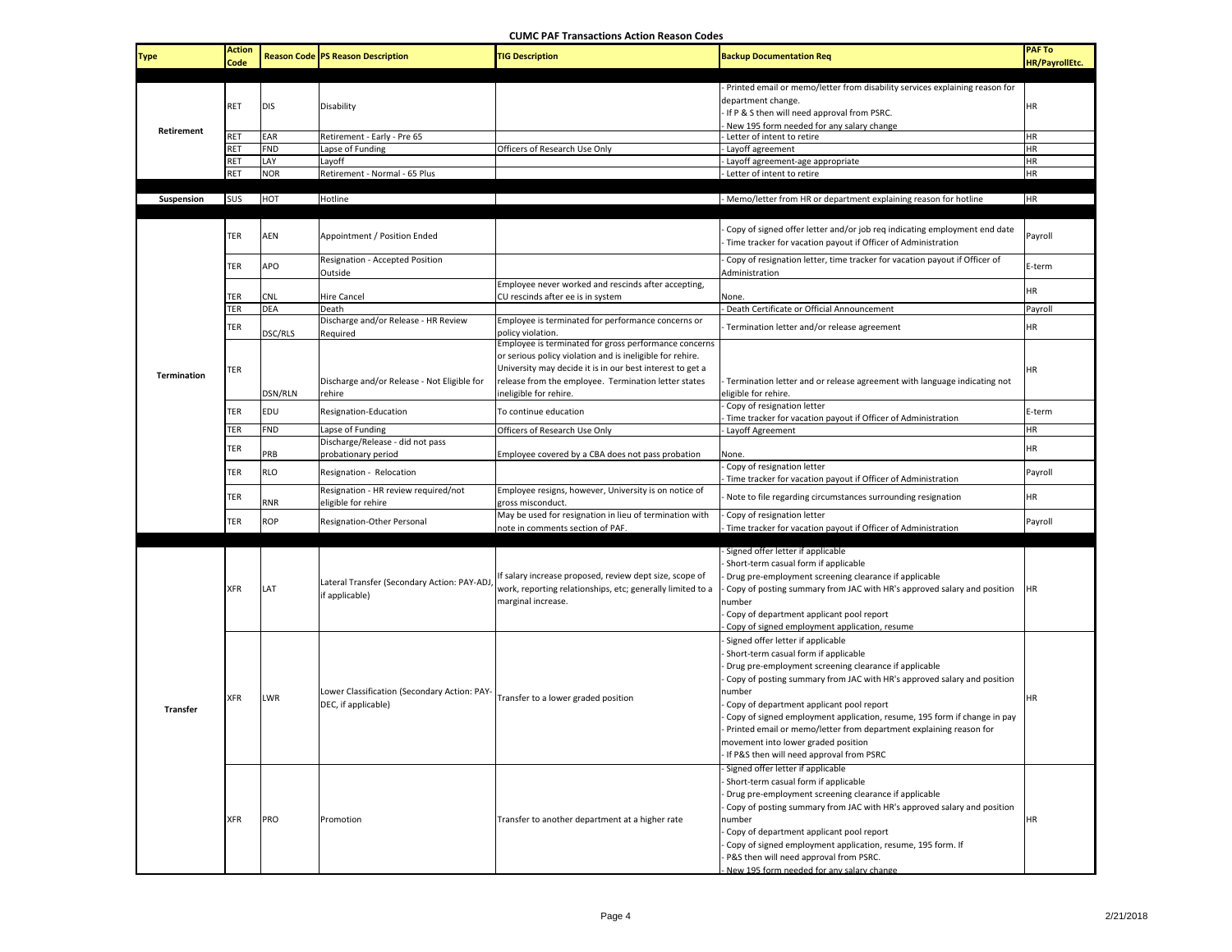**CUMC PAF Transactions Action Reason Codes**

| <b>Type</b>       | <b>Action</b><br>Code |            | <b>Reason Code PS Reason Description</b>                            | <b>TIG Description</b>                                                                                                                                                                                                                                            | <b>Backup Documentation Req</b>                                                                                                                                                                                                                                                                                                                                                                                                                                                                          | <b>PAF To</b><br><b>HR/PayrollEtc.</b> |
|-------------------|-----------------------|------------|---------------------------------------------------------------------|-------------------------------------------------------------------------------------------------------------------------------------------------------------------------------------------------------------------------------------------------------------------|----------------------------------------------------------------------------------------------------------------------------------------------------------------------------------------------------------------------------------------------------------------------------------------------------------------------------------------------------------------------------------------------------------------------------------------------------------------------------------------------------------|----------------------------------------|
|                   | RET                   | <b>DIS</b> | Disability                                                          |                                                                                                                                                                                                                                                                   | Printed email or memo/letter from disability services explaining reason for<br>department change.<br>If P & S then will need approval from PSRC.<br>New 195 form needed for any salary change                                                                                                                                                                                                                                                                                                            | HR                                     |
| <b>Retirement</b> | RET                   | EAR        | Retirement - Early - Pre 65                                         |                                                                                                                                                                                                                                                                   | Letter of intent to retire                                                                                                                                                                                                                                                                                                                                                                                                                                                                               | <b>HR</b>                              |
|                   | RET                   | <b>FND</b> | Lapse of Funding                                                    | Officers of Research Use Only                                                                                                                                                                                                                                     | Layoff agreement                                                                                                                                                                                                                                                                                                                                                                                                                                                                                         | HR                                     |
|                   | RET                   | LAY        | Layoff                                                              |                                                                                                                                                                                                                                                                   | Layoff agreement-age appropriate                                                                                                                                                                                                                                                                                                                                                                                                                                                                         | HR                                     |
|                   | RET                   | <b>NOR</b> | Retirement - Normal - 65 Plus                                       |                                                                                                                                                                                                                                                                   | Letter of intent to retire                                                                                                                                                                                                                                                                                                                                                                                                                                                                               | HR                                     |
|                   |                       |            |                                                                     |                                                                                                                                                                                                                                                                   |                                                                                                                                                                                                                                                                                                                                                                                                                                                                                                          |                                        |
| Suspension        | SUS                   | HOT        | Hotline                                                             |                                                                                                                                                                                                                                                                   | - Memo/letter from HR or department explaining reason for hotline                                                                                                                                                                                                                                                                                                                                                                                                                                        | <b>HR</b>                              |
|                   | TER                   | AEN        | Appointment / Position Ended                                        |                                                                                                                                                                                                                                                                   | Copy of signed offer letter and/or job req indicating employment end date<br>Time tracker for vacation payout if Officer of Administration                                                                                                                                                                                                                                                                                                                                                               | Payroll                                |
|                   | TER                   | APO        | Resignation - Accepted Position<br>Outside                          |                                                                                                                                                                                                                                                                   | Copy of resignation letter, time tracker for vacation payout if Officer of<br>Administration                                                                                                                                                                                                                                                                                                                                                                                                             | E-term                                 |
|                   |                       |            |                                                                     | Employee never worked and rescinds after accepting,                                                                                                                                                                                                               |                                                                                                                                                                                                                                                                                                                                                                                                                                                                                                          | HR                                     |
|                   | TER                   | CNL        | Hire Cancel                                                         | CU rescinds after ee is in system                                                                                                                                                                                                                                 | None.                                                                                                                                                                                                                                                                                                                                                                                                                                                                                                    |                                        |
|                   | TER                   | <b>DEA</b> | Death                                                               |                                                                                                                                                                                                                                                                   | Death Certificate or Official Announcement                                                                                                                                                                                                                                                                                                                                                                                                                                                               | Payroll                                |
|                   | TER                   |            | Discharge and/or Release - HR Review                                | Employee is terminated for performance concerns or                                                                                                                                                                                                                | Termination letter and/or release agreement                                                                                                                                                                                                                                                                                                                                                                                                                                                              | HR                                     |
|                   |                       | DSC/RLS    | Required                                                            | policy violation.                                                                                                                                                                                                                                                 |                                                                                                                                                                                                                                                                                                                                                                                                                                                                                                          |                                        |
| Termination       | TER                   | DSN/RLN    | Discharge and/or Release - Not Eligible for<br>rehire               | Employee is terminated for gross performance concerns<br>or serious policy violation and is ineligible for rehire.<br>University may decide it is in our best interest to get a<br>release from the employee. Termination letter states<br>ineligible for rehire. | Termination letter and or release agreement with language indicating not<br>eligible for rehire.                                                                                                                                                                                                                                                                                                                                                                                                         | <b>HR</b>                              |
|                   |                       |            |                                                                     |                                                                                                                                                                                                                                                                   | Copy of resignation letter                                                                                                                                                                                                                                                                                                                                                                                                                                                                               |                                        |
|                   | TER                   | EDU        | Resignation-Education                                               | To continue education                                                                                                                                                                                                                                             | Time tracker for vacation payout if Officer of Administration                                                                                                                                                                                                                                                                                                                                                                                                                                            | E-term                                 |
|                   | TER                   | <b>FND</b> | Lapse of Funding                                                    | Officers of Research Use Only                                                                                                                                                                                                                                     | Layoff Agreement                                                                                                                                                                                                                                                                                                                                                                                                                                                                                         | <b>HR</b>                              |
|                   |                       |            | Discharge/Release - did not pass                                    |                                                                                                                                                                                                                                                                   |                                                                                                                                                                                                                                                                                                                                                                                                                                                                                                          | <b>HR</b>                              |
|                   | TER                   | PRB        | probationary period                                                 | Employee covered by a CBA does not pass probation                                                                                                                                                                                                                 | None.                                                                                                                                                                                                                                                                                                                                                                                                                                                                                                    |                                        |
|                   | TER                   | <b>RLO</b> | Resignation - Relocation                                            |                                                                                                                                                                                                                                                                   | Copy of resignation letter<br>Time tracker for vacation payout if Officer of Administration                                                                                                                                                                                                                                                                                                                                                                                                              | Payroll                                |
|                   | TER                   | RNR        | Resignation - HR review required/not<br>eligible for rehire         | Employee resigns, however, University is on notice of<br>gross misconduct.                                                                                                                                                                                        | Note to file regarding circumstances surrounding resignation                                                                                                                                                                                                                                                                                                                                                                                                                                             | <b>HR</b>                              |
|                   | TER                   | <b>ROP</b> | Resignation-Other Personal                                          | May be used for resignation in lieu of termination with<br>note in comments section of PAF.                                                                                                                                                                       | Copy of resignation letter<br>Time tracker for vacation payout if Officer of Administration                                                                                                                                                                                                                                                                                                                                                                                                              | Payroll                                |
|                   |                       |            |                                                                     |                                                                                                                                                                                                                                                                   | Signed offer letter if applicable                                                                                                                                                                                                                                                                                                                                                                                                                                                                        |                                        |
| <b>Transfer</b>   | <b>XFR</b>            | LAT        | Lateral Transfer (Secondary Action: PAY-ADJ,<br>if applicable)      | If salary increase proposed, review dept size, scope of<br>work, reporting relationships, etc; generally limited to a<br>marginal increase.                                                                                                                       | Short-term casual form if applicable<br>Drug pre-employment screening clearance if applicable<br>Copy of posting summary from JAC with HR's approved salary and position<br>number<br>Copy of department applicant pool report<br>Copy of signed employment application, resume                                                                                                                                                                                                                          | <b>HR</b>                              |
|                   | <b>XFR</b>            | <b>LWR</b> | Lower Classification (Secondary Action: PAY-<br>DEC, if applicable) | Transfer to a lower graded position                                                                                                                                                                                                                               | Signed offer letter if applicable<br>Short-term casual form if applicable<br>Drug pre-employment screening clearance if applicable<br>Copy of posting summary from JAC with HR's approved salary and position<br>number<br>Copy of department applicant pool report<br>Copy of signed employment application, resume, 195 form if change in pay<br>Printed email or memo/letter from department explaining reason for<br>movement into lower graded position<br>If P&S then will need approval from PSRC | <b>HR</b>                              |
|                   | <b>XFR</b>            | <b>PRO</b> | Promotion                                                           | Transfer to another department at a higher rate                                                                                                                                                                                                                   | Signed offer letter if applicable<br>Short-term casual form if applicable<br>Drug pre-employment screening clearance if applicable<br>Copy of posting summary from JAC with HR's approved salary and position<br>number<br>Copy of department applicant pool report<br>Copy of signed employment application, resume, 195 form. If<br>P&S then will need approval from PSRC.<br>New 195 form needed for any salary change                                                                                | <b>HR</b>                              |